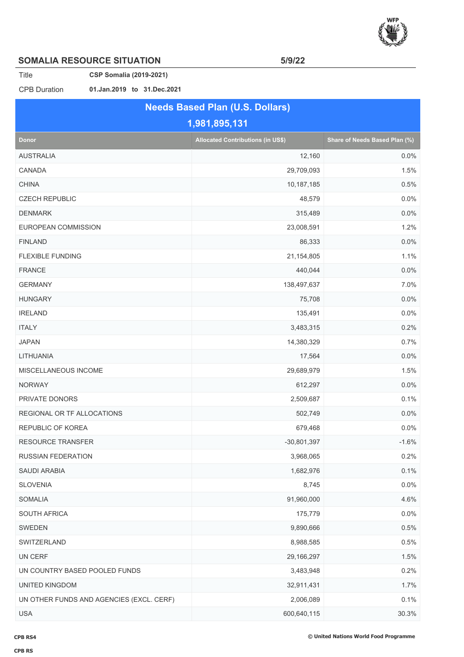

## **SOMALIA RESOURCE SITUATION 5/9/22**

Title **CSP Somalia (2019-2021)**

CPB Duration **01.Jan.2019 to 31.Dec.2021**

|                                          | <b>Needs Based Plan (U.S. Dollars)</b>   |                               |
|------------------------------------------|------------------------------------------|-------------------------------|
|                                          | 1,981,895,131                            |                               |
| <b>Donor</b>                             | <b>Allocated Contributions (in US\$)</b> | Share of Needs Based Plan (%) |
| <b>AUSTRALIA</b>                         | 12,160                                   | 0.0%                          |
| CANADA                                   | 29,709,093                               | 1.5%                          |
| <b>CHINA</b>                             | 10,187,185                               | 0.5%                          |
| <b>CZECH REPUBLIC</b>                    | 48,579                                   | 0.0%                          |
| <b>DENMARK</b>                           | 315,489                                  | 0.0%                          |
| EUROPEAN COMMISSION                      | 23,008,591                               | 1.2%                          |
| <b>FINLAND</b>                           | 86,333                                   | 0.0%                          |
| <b>FLEXIBLE FUNDING</b>                  | 21,154,805                               | 1.1%                          |
| <b>FRANCE</b>                            | 440,044                                  | 0.0%                          |
| <b>GERMANY</b>                           | 138,497,637                              | 7.0%                          |
| <b>HUNGARY</b>                           | 75,708                                   | 0.0%                          |
| <b>IRELAND</b>                           | 135,491                                  | 0.0%                          |
| <b>ITALY</b>                             | 3,483,315                                | 0.2%                          |
| <b>JAPAN</b>                             | 14,380,329                               | 0.7%                          |
| LITHUANIA                                | 17,564                                   | 0.0%                          |
| MISCELLANEOUS INCOME                     | 29,689,979                               | 1.5%                          |
| <b>NORWAY</b>                            | 612,297                                  | 0.0%                          |
| PRIVATE DONORS                           | 2,509,687                                | 0.1%                          |
| REGIONAL OR TF ALLOCATIONS               | 502,749                                  | 0.0%                          |
| REPUBLIC OF KOREA                        | 679,468                                  | 0.0%                          |
| <b>RESOURCE TRANSFER</b>                 | $-30,801,397$                            | $-1.6%$                       |
| <b>RUSSIAN FEDERATION</b>                | 3,968,065                                | 0.2%                          |
| SAUDI ARABIA                             | 1,682,976                                | 0.1%                          |
| <b>SLOVENIA</b>                          | 8,745                                    | 0.0%                          |
| <b>SOMALIA</b>                           | 91,960,000                               | 4.6%                          |
| SOUTH AFRICA                             | 175,779                                  | 0.0%                          |
| SWEDEN                                   | 9,890,666                                | 0.5%                          |
| SWITZERLAND                              | 8,988,585                                | 0.5%                          |
| UN CERF                                  | 29,166,297                               | 1.5%                          |
| UN COUNTRY BASED POOLED FUNDS            | 3,483,948                                | 0.2%                          |
| UNITED KINGDOM                           | 32,911,431                               | 1.7%                          |
| UN OTHER FUNDS AND AGENCIES (EXCL. CERF) | 2,006,089                                | 0.1%                          |
| <b>USA</b>                               | 600,640,115                              | 30.3%                         |